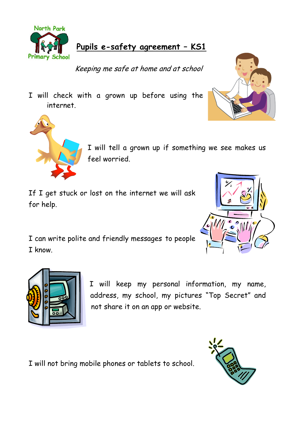

## **Pupils e-safety agreement – KS1**

Keeping me safe at home and at school

I will check with a grown up before using the internet.





I will tell a grown up if something we see makes us feel worried.

If I get stuck or lost on the internet we will ask for help.

I can write polite and friendly messages to people I know.





I will keep my personal information, my name, address, my school, my pictures "Top Secret" and not share it on an app or website.

I will not bring mobile phones or tablets to school.